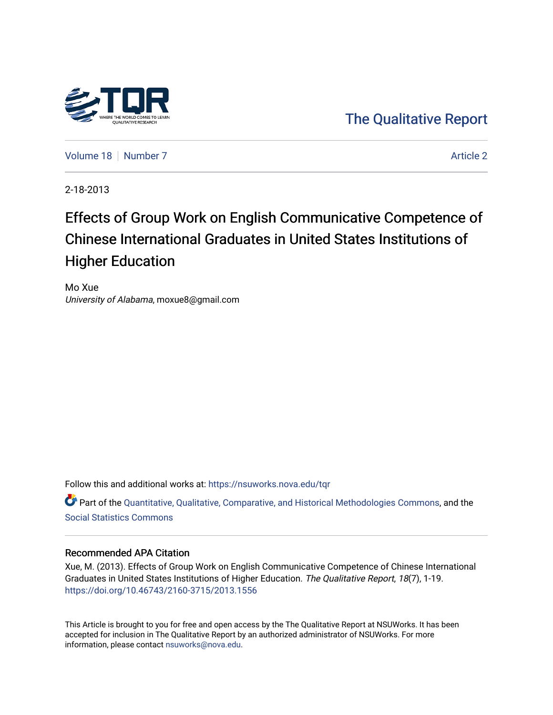

[The Qualitative Report](https://nsuworks.nova.edu/tqr) 

[Volume 18](https://nsuworks.nova.edu/tqr/vol18) [Number 7](https://nsuworks.nova.edu/tqr/vol18/iss7) Article 2

2-18-2013

## Effects of Group Work on English Communicative Competence of Chinese International Graduates in United States Institutions of Higher Education

Mo Xue University of Alabama, moxue8@gmail.com

Follow this and additional works at: [https://nsuworks.nova.edu/tqr](https://nsuworks.nova.edu/tqr?utm_source=nsuworks.nova.edu%2Ftqr%2Fvol18%2Fiss7%2F2&utm_medium=PDF&utm_campaign=PDFCoverPages) 

Part of the [Quantitative, Qualitative, Comparative, and Historical Methodologies Commons,](http://network.bepress.com/hgg/discipline/423?utm_source=nsuworks.nova.edu%2Ftqr%2Fvol18%2Fiss7%2F2&utm_medium=PDF&utm_campaign=PDFCoverPages) and the [Social Statistics Commons](http://network.bepress.com/hgg/discipline/1275?utm_source=nsuworks.nova.edu%2Ftqr%2Fvol18%2Fiss7%2F2&utm_medium=PDF&utm_campaign=PDFCoverPages) 

#### Recommended APA Citation

Xue, M. (2013). Effects of Group Work on English Communicative Competence of Chinese International Graduates in United States Institutions of Higher Education. The Qualitative Report, 18(7), 1-19. <https://doi.org/10.46743/2160-3715/2013.1556>

This Article is brought to you for free and open access by the The Qualitative Report at NSUWorks. It has been accepted for inclusion in The Qualitative Report by an authorized administrator of NSUWorks. For more information, please contact [nsuworks@nova.edu.](mailto:nsuworks@nova.edu)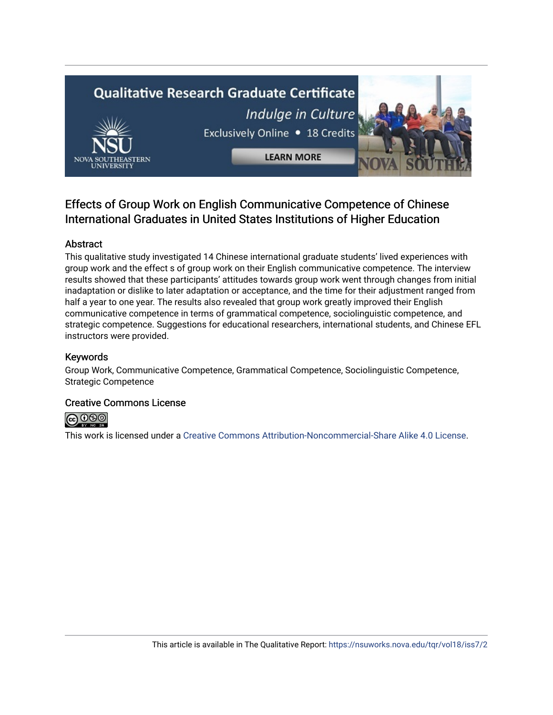# **Qualitative Research Graduate Certificate** Indulge in Culture Exclusively Online . 18 Credits **LEARN MORE**

### Effects of Group Work on English Communicative Competence of Chinese International Graduates in United States Institutions of Higher Education

#### Abstract

This qualitative study investigated 14 Chinese international graduate students' lived experiences with group work and the effect s of group work on their English communicative competence. The interview results showed that these participants' attitudes towards group work went through changes from initial inadaptation or dislike to later adaptation or acceptance, and the time for their adjustment ranged from half a year to one year. The results also revealed that group work greatly improved their English communicative competence in terms of grammatical competence, sociolinguistic competence, and strategic competence. Suggestions for educational researchers, international students, and Chinese EFL instructors were provided.

#### Keywords

Group Work, Communicative Competence, Grammatical Competence, Sociolinguistic Competence, Strategic Competence

#### Creative Commons License



This work is licensed under a [Creative Commons Attribution-Noncommercial-Share Alike 4.0 License](https://creativecommons.org/licenses/by-nc-sa/4.0/).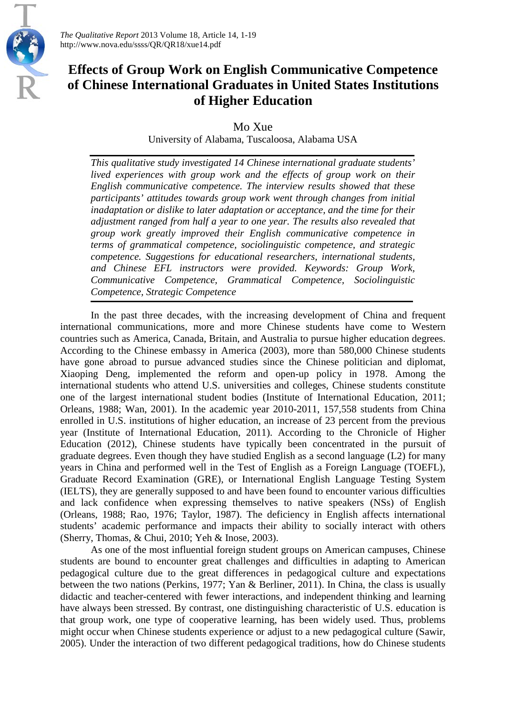

*The Qualitative Report* 2013 Volume 18, Article 14, 1-19 http://www.nova.edu/ssss/QR/QR18/xue14.pdf

## **Effects of Group Work on English Communicative Competence of Chinese International Graduates in United States Institutions of Higher Education**

Mo Xue

University of Alabama, Tuscaloosa, Alabama USA

*This qualitative study investigated 14 Chinese international graduate students' lived experiences with group work and the effects of group work on their English communicative competence. The interview results showed that these participants' attitudes towards group work went through changes from initial inadaptation or dislike to later adaptation or acceptance, and the time for their adjustment ranged from half a year to one year. The results also revealed that group work greatly improved their English communicative competence in terms of grammatical competence, sociolinguistic competence, and strategic competence. Suggestions for educational researchers, international students, and Chinese EFL instructors were provided. Keywords: Group Work, Communicative Competence, Grammatical Competence, Sociolinguistic Competence, Strategic Competence*

In the past three decades, with the increasing development of China and frequent international communications, more and more Chinese students have come to Western countries such as America, Canada, Britain, and Australia to pursue higher education degrees. According to the Chinese embassy in America (2003), more than 580,000 Chinese students have gone abroad to pursue advanced studies since the Chinese politician and diplomat, Xiaoping Deng, implemented the reform and open-up policy in 1978. Among the international students who attend U.S. universities and colleges, Chinese students constitute one of the largest international student bodies (Institute of International Education, 2011; Orleans, 1988; Wan, 2001). In the academic year 2010-2011, 157,558 students from China enrolled in U.S. institutions of higher education, an increase of 23 percent from the previous year (Institute of International Education, 2011). According to the Chronicle of Higher Education (2012), Chinese students have typically been concentrated in the pursuit of graduate degrees. Even though they have studied English as a second language (L2) for many years in China and performed well in the Test of English as a Foreign Language (TOEFL), Graduate Record Examination (GRE), or International English Language Testing System (IELTS), they are generally supposed to and have been found to encounter various difficulties and lack confidence when expressing themselves to native speakers (NSs) of English (Orleans, 1988; Rao, 1976; Taylor, 1987). The deficiency in English affects international students' academic performance and impacts their ability to socially interact with others (Sherry, Thomas, & Chui, 2010; Yeh & Inose, 2003).

As one of the most influential foreign student groups on American campuses, Chinese students are bound to encounter great challenges and difficulties in adapting to American pedagogical culture due to the great differences in pedagogical culture and expectations between the two nations (Perkins, 1977; Yan & Berliner, 2011). In China, the class is usually didactic and teacher-centered with fewer interactions, and independent thinking and learning have always been stressed. By contrast, one distinguishing characteristic of U.S. education is that group work, one type of cooperative learning, has been widely used. Thus, problems might occur when Chinese students experience or adjust to a new pedagogical culture (Sawir, 2005). Under the interaction of two different pedagogical traditions, how do Chinese students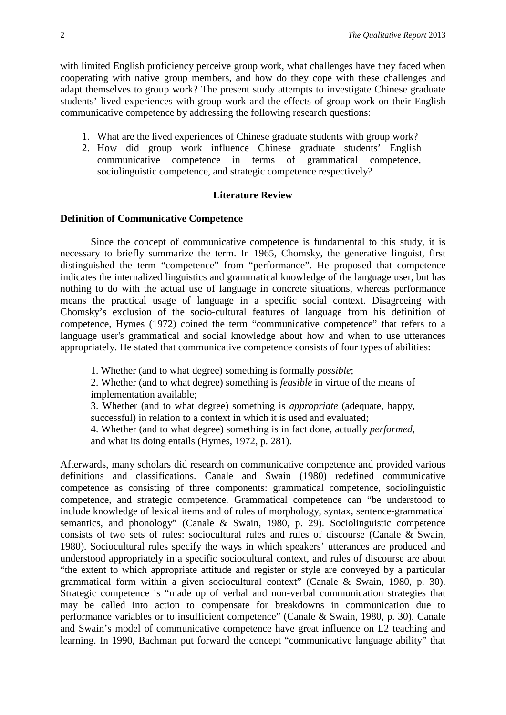with limited English proficiency perceive group work, what challenges have they faced when cooperating with native group members, and how do they cope with these challenges and adapt themselves to group work? The present study attempts to investigate Chinese graduate students' lived experiences with group work and the effects of group work on their English communicative competence by addressing the following research questions:

- 1. What are the lived experiences of Chinese graduate students with group work?
- 2. How did group work influence Chinese graduate students' English communicative competence in terms of grammatical competence, sociolinguistic competence, and strategic competence respectively?

#### **Literature Review**

#### **Definition of Communicative Competence**

Since the concept of communicative competence is fundamental to this study, it is necessary to briefly summarize the term. In 1965, Chomsky, the generative linguist, first distinguished the term "competence" from "performance". He proposed that competence indicates the internalized linguistics and grammatical knowledge of the language user, but has nothing to do with the actual use of language in concrete situations, whereas performance means the practical usage of language in a specific social context. Disagreeing with Chomsky's exclusion of the socio-cultural features of language from his definition of competence, Hymes (1972) coined the term "communicative competence" that refers to a language user's grammatical and social knowledge about how and when to use utterances appropriately. He stated that communicative competence consists of four types of abilities:

1. Whether (and to what degree) something is formally *possible*;

2. Whether (and to what degree) something is *feasible* in virtue of the means of implementation available;

3. Whether (and to what degree) something is *appropriate* (adequate, happy, successful) in relation to a context in which it is used and evaluated:

4. Whether (and to what degree) something is in fact done, actually *performed*, and what its doing entails (Hymes, 1972, p. 281).

Afterwards, many scholars did research on communicative competence and provided various definitions and classifications. Canale and Swain (1980) redefined communicative competence as consisting of three components: grammatical competence, sociolinguistic competence, and strategic competence. Grammatical competence can "be understood to include knowledge of lexical items and of rules of morphology, syntax, sentence-grammatical semantics, and phonology" (Canale & Swain, 1980, p. 29). Sociolinguistic competence consists of two sets of rules: sociocultural rules and rules of discourse (Canale & Swain, 1980). Sociocultural rules specify the ways in which speakers' utterances are produced and understood appropriately in a specific sociocultural context, and rules of discourse are about "the extent to which appropriate attitude and register or style are conveyed by a particular grammatical form within a given sociocultural context" (Canale & Swain, 1980, p. 30). Strategic competence is "made up of verbal and non-verbal communication strategies that may be called into action to compensate for breakdowns in communication due to performance variables or to insufficient competence" (Canale & Swain, 1980, p. 30). Canale and Swain's model of communicative competence have great influence on L2 teaching and learning. In 1990, Bachman put forward the concept "communicative language ability" that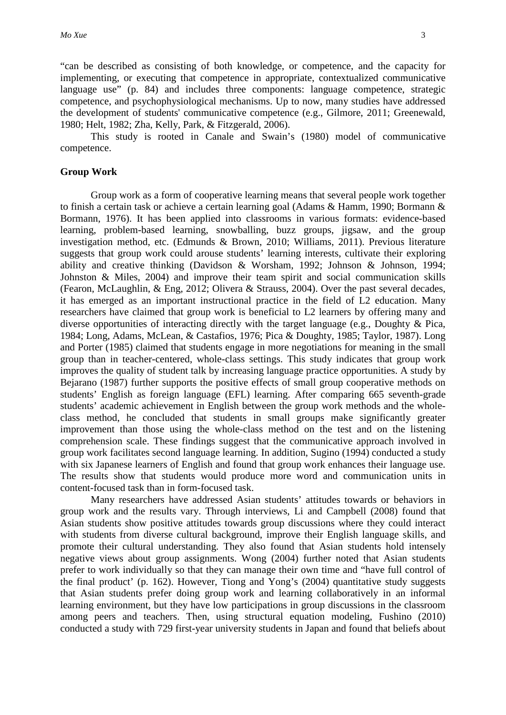"can be described as consisting of both knowledge, or competence, and the capacity for implementing, or executing that competence in appropriate, contextualized communicative language use" (p. 84) and includes three components: language competence, strategic competence, and psychophysiological mechanisms. Up to now, many studies have addressed the development of students' communicative competence (e.g., Gilmore, 2011; Greenewald, 1980; Helt, 1982; Zha, Kelly, Park, & Fitzgerald, 2006).

This study is rooted in Canale and Swain's (1980) model of communicative competence.

#### **Group Work**

Group work as a form of cooperative learning means that several people work together to finish a certain task or achieve a certain learning goal (Adams & Hamm, 1990; Bormann & Bormann, 1976). It has been applied into classrooms in various formats: evidence-based learning, problem-based learning, snowballing, buzz groups, jigsaw, and the group investigation method, etc. (Edmunds & Brown, 2010; Williams, 2011). Previous literature suggests that group work could arouse students' learning interests, cultivate their exploring ability and creative thinking (Davidson & Worsham, 1992; Johnson & Johnson, 1994; Johnston & Miles, 2004) and improve their team spirit and social communication skills (Fearon, McLaughlin, & Eng, 2012; Olivera & Strauss, 2004). Over the past several decades, it has emerged as an important instructional practice in the field of L2 education. Many researchers have claimed that group work is beneficial to L2 learners by offering many and diverse opportunities of interacting directly with the target language (e.g., Doughty & Pica, 1984; Long, Adams, McLean, & Castafios, 1976; Pica & Doughty, 1985; Taylor, 1987). Long and Porter (1985) claimed that students engage in more negotiations for meaning in the small group than in teacher-centered, whole-class settings. This study indicates that group work improves the quality of student talk by increasing language practice opportunities. A study by Bejarano (1987) further supports the positive effects of small group cooperative methods on students' English as foreign language (EFL) learning. After comparing 665 seventh-grade students' academic achievement in English between the group work methods and the wholeclass method, he concluded that students in small groups make significantly greater improvement than those using the whole-class method on the test and on the listening comprehension scale. These findings suggest that the communicative approach involved in group work facilitates second language learning. In addition, Sugino (1994) conducted a study with six Japanese learners of English and found that group work enhances their language use. The results show that students would produce more word and communication units in content-focused task than in form-focused task.

Many researchers have addressed Asian students' attitudes towards or behaviors in group work and the results vary. Through interviews, Li and Campbell (2008) found that Asian students show positive attitudes towards group discussions where they could interact with students from diverse cultural background, improve their English language skills, and promote their cultural understanding. They also found that Asian students hold intensely negative views about group assignments. Wong (2004) further noted that Asian students prefer to work individually so that they can manage their own time and "have full control of the final product' (p. 162). However, Tiong and Yong's (2004) quantitative study suggests that Asian students prefer doing group work and learning collaboratively in an informal learning environment, but they have low participations in group discussions in the classroom among peers and teachers. Then, using structural equation modeling, Fushino (2010) conducted a study with 729 first-year university students in Japan and found that beliefs about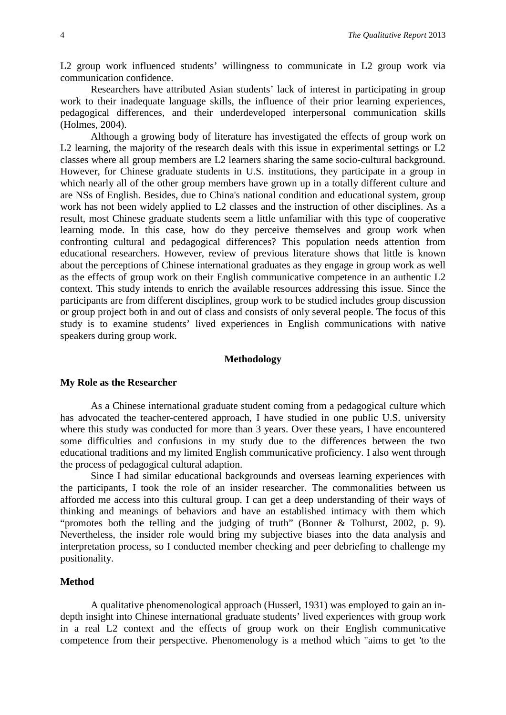L2 group work influenced students' willingness to communicate in L2 group work via communication confidence.

Researchers have attributed Asian students' lack of interest in participating in group work to their inadequate language skills, the influence of their prior learning experiences, pedagogical differences, and their underdeveloped interpersonal communication skills (Holmes, 2004).

Although a growing body of literature has investigated the effects of group work on L2 learning, the majority of the research deals with this issue in experimental settings or L2 classes where all group members are L2 learners sharing the same socio-cultural background. However, for Chinese graduate students in U.S. institutions, they participate in a group in which nearly all of the other group members have grown up in a totally different culture and are NSs of English. Besides, due to China's national condition and educational system, group work has not been widely applied to L2 classes and the instruction of other disciplines. As a result, most Chinese graduate students seem a little unfamiliar with this type of cooperative learning mode. In this case, how do they perceive themselves and group work when confronting cultural and pedagogical differences? This population needs attention from educational researchers. However, review of previous literature shows that little is known about the perceptions of Chinese international graduates as they engage in group work as well as the effects of group work on their English communicative competence in an authentic L2 context. This study intends to enrich the available resources addressing this issue. Since the participants are from different disciplines, group work to be studied includes group discussion or group project both in and out of class and consists of only several people. The focus of this study is to examine students' lived experiences in English communications with native speakers during group work.

#### **Methodology**

#### **My Role as the Researcher**

As a Chinese international graduate student coming from a pedagogical culture which has advocated the teacher-centered approach, I have studied in one public U.S. university where this study was conducted for more than 3 years. Over these years, I have encountered some difficulties and confusions in my study due to the differences between the two educational traditions and my limited English communicative proficiency. I also went through the process of pedagogical cultural adaption.

Since I had similar educational backgrounds and overseas learning experiences with the participants, I took the role of an insider researcher. The commonalities between us afforded me access into this cultural group. I can get a deep understanding of their ways of thinking and meanings of behaviors and have an established intimacy with them which "promotes both the telling and the judging of truth" (Bonner & Tolhurst, 2002, p. 9). Nevertheless, the insider role would bring my subjective biases into the data analysis and interpretation process, so I conducted member checking and peer debriefing to challenge my positionality.

#### **Method**

A qualitative phenomenological approach (Husserl, 1931) was employed to gain an indepth insight into Chinese international graduate students' lived experiences with group work in a real L2 context and the effects of group work on their English communicative competence from their perspective. Phenomenology is a method which "aims to get 'to the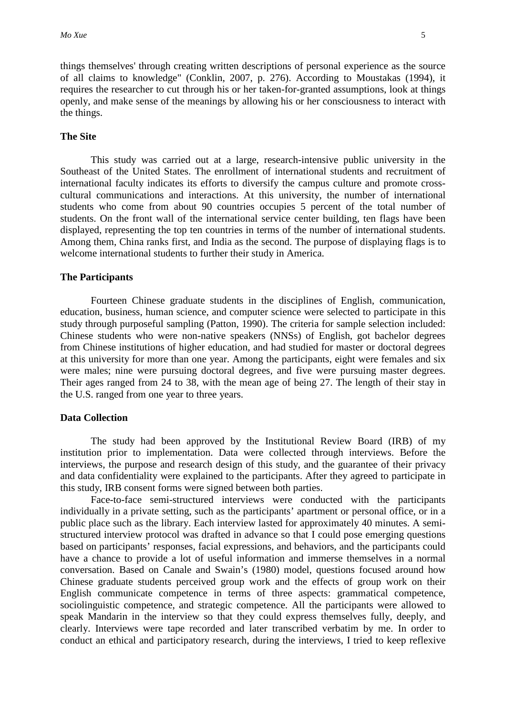things themselves' through creating written descriptions of personal experience as the source of all claims to knowledge" (Conklin, 2007, p. 276). According to Moustakas (1994), it requires the researcher to cut through his or her taken-for-granted assumptions, look at things openly, and make sense of the meanings by allowing his or her consciousness to interact with the things.

#### **The Site**

This study was carried out at a large, research-intensive public university in the Southeast of the United States. The enrollment of international students and recruitment of international faculty indicates its efforts to diversify the campus culture and promote crosscultural communications and interactions. At this university, the number of international students who come from about 90 countries occupies 5 percent of the total number of students. On the front wall of the international service center building, ten flags have been displayed, representing the top ten countries in terms of the number of international students. Among them, China ranks first, and India as the second. The purpose of displaying flags is to welcome international students to further their study in America.

#### **The Participants**

Fourteen Chinese graduate students in the disciplines of English, communication, education, business, human science, and computer science were selected to participate in this study through purposeful sampling (Patton, 1990). The criteria for sample selection included: Chinese students who were non-native speakers (NNSs) of English, got bachelor degrees from Chinese institutions of higher education, and had studied for master or doctoral degrees at this university for more than one year. Among the participants, eight were females and six were males; nine were pursuing doctoral degrees, and five were pursuing master degrees. Their ages ranged from 24 to 38, with the mean age of being 27. The length of their stay in the U.S. ranged from one year to three years.

#### **Data Collection**

The study had been approved by the Institutional Review Board (IRB) of my institution prior to implementation. Data were collected through interviews. Before the interviews, the purpose and research design of this study, and the guarantee of their privacy and data confidentiality were explained to the participants. After they agreed to participate in this study, IRB consent forms were signed between both parties.

Face-to-face semi-structured interviews were conducted with the participants individually in a private setting, such as the participants' apartment or personal office, or in a public place such as the library. Each interview lasted for approximately 40 minutes. A semistructured interview protocol was drafted in advance so that I could pose emerging questions based on participants' responses, facial expressions, and behaviors, and the participants could have a chance to provide a lot of useful information and immerse themselves in a normal conversation. Based on Canale and Swain's (1980) model, questions focused around how Chinese graduate students perceived group work and the effects of group work on their English communicate competence in terms of three aspects: grammatical competence, sociolinguistic competence, and strategic competence. All the participants were allowed to speak Mandarin in the interview so that they could express themselves fully, deeply, and clearly. Interviews were tape recorded and later transcribed verbatim by me. In order to conduct an ethical and participatory research, during the interviews, I tried to keep reflexive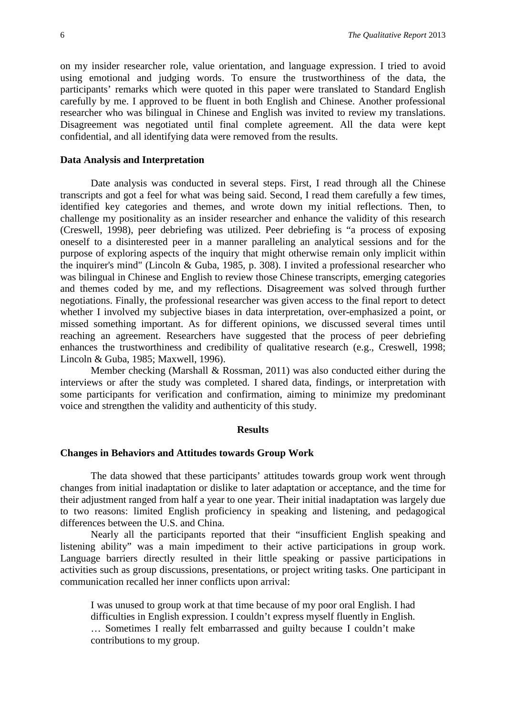on my insider researcher role, value orientation, and language expression. I tried to avoid using emotional and judging words. To ensure the trustworthiness of the data, the participants' remarks which were quoted in this paper were translated to Standard English carefully by me. I approved to be fluent in both English and Chinese. Another professional researcher who was bilingual in Chinese and English was invited to review my translations. Disagreement was negotiated until final complete agreement. All the data were kept confidential, and all identifying data were removed from the results.

#### **Data Analysis and Interpretation**

Date analysis was conducted in several steps. First, I read through all the Chinese transcripts and got a feel for what was being said. Second, I read them carefully a few times, identified key categories and themes, and wrote down my initial reflections. Then, to challenge my positionality as an insider researcher and enhance the validity of this research (Creswell, 1998), peer debriefing was utilized. Peer debriefing is "a process of exposing oneself to a disinterested peer in a manner paralleling an analytical sessions and for the purpose of exploring aspects of the inquiry that might otherwise remain only implicit within the inquirer's mind" (Lincoln & Guba, 1985, p. 308). I invited a professional researcher who was bilingual in Chinese and English to review those Chinese transcripts, emerging categories and themes coded by me, and my reflections. Disagreement was solved through further negotiations. Finally, the professional researcher was given access to the final report to detect whether I involved my subjective biases in data interpretation, over-emphasized a point, or missed something important. As for different opinions, we discussed several times until reaching an agreement. Researchers have suggested that the process of peer debriefing enhances the trustworthiness and credibility of qualitative research (e.g., Creswell, 1998; Lincoln & Guba, 1985; Maxwell, 1996).

Member checking (Marshall & Rossman, 2011) was also conducted either during the interviews or after the study was completed. I shared data, findings, or interpretation with some participants for verification and confirmation, aiming to minimize my predominant voice and strengthen the validity and authenticity of this study.

#### **Results**

#### **Changes in Behaviors and Attitudes towards Group Work**

The data showed that these participants' attitudes towards group work went through changes from initial inadaptation or dislike to later adaptation or acceptance, and the time for their adjustment ranged from half a year to one year. Their initial inadaptation was largely due to two reasons: limited English proficiency in speaking and listening, and pedagogical differences between the U.S. and China.

Nearly all the participants reported that their "insufficient English speaking and listening ability" was a main impediment to their active participations in group work. Language barriers directly resulted in their little speaking or passive participations in activities such as group discussions, presentations, or project writing tasks. One participant in communication recalled her inner conflicts upon arrival:

I was unused to group work at that time because of my poor oral English. I had difficulties in English expression. I couldn't express myself fluently in English. … Sometimes I really felt embarrassed and guilty because I couldn't make contributions to my group.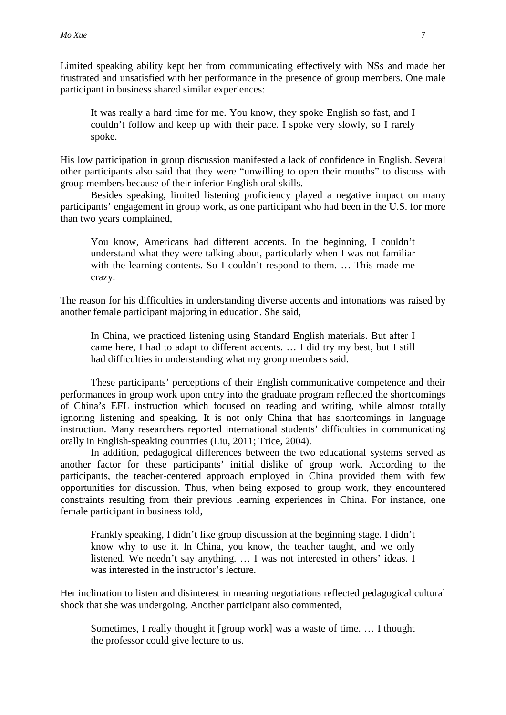Limited speaking ability kept her from communicating effectively with NSs and made her frustrated and unsatisfied with her performance in the presence of group members. One male participant in business shared similar experiences:

It was really a hard time for me. You know, they spoke English so fast, and I couldn't follow and keep up with their pace. I spoke very slowly, so I rarely spoke.

His low participation in group discussion manifested a lack of confidence in English. Several other participants also said that they were "unwilling to open their mouths" to discuss with group members because of their inferior English oral skills.

Besides speaking, limited listening proficiency played a negative impact on many participants' engagement in group work, as one participant who had been in the U.S. for more than two years complained,

You know, Americans had different accents. In the beginning, I couldn't understand what they were talking about, particularly when I was not familiar with the learning contents. So I couldn't respond to them. ... This made me crazy.

The reason for his difficulties in understanding diverse accents and intonations was raised by another female participant majoring in education. She said,

In China, we practiced listening using Standard English materials. But after I came here, I had to adapt to different accents. … I did try my best, but I still had difficulties in understanding what my group members said.

These participants' perceptions of their English communicative competence and their performances in group work upon entry into the graduate program reflected the shortcomings of China's EFL instruction which focused on reading and writing, while almost totally ignoring listening and speaking. It is not only China that has shortcomings in language instruction. Many researchers reported international students' difficulties in communicating orally in English-speaking countries (Liu, 2011; Trice, 2004).

In addition, pedagogical differences between the two educational systems served as another factor for these participants' initial dislike of group work. According to the participants, the teacher-centered approach employed in China provided them with few opportunities for discussion. Thus, when being exposed to group work, they encountered constraints resulting from their previous learning experiences in China. For instance, one female participant in business told,

Frankly speaking, I didn't like group discussion at the beginning stage. I didn't know why to use it. In China, you know, the teacher taught, and we only listened. We needn't say anything. … I was not interested in others' ideas. I was interested in the instructor's lecture.

Her inclination to listen and disinterest in meaning negotiations reflected pedagogical cultural shock that she was undergoing. Another participant also commented,

Sometimes, I really thought it [group work] was a waste of time. … I thought the professor could give lecture to us.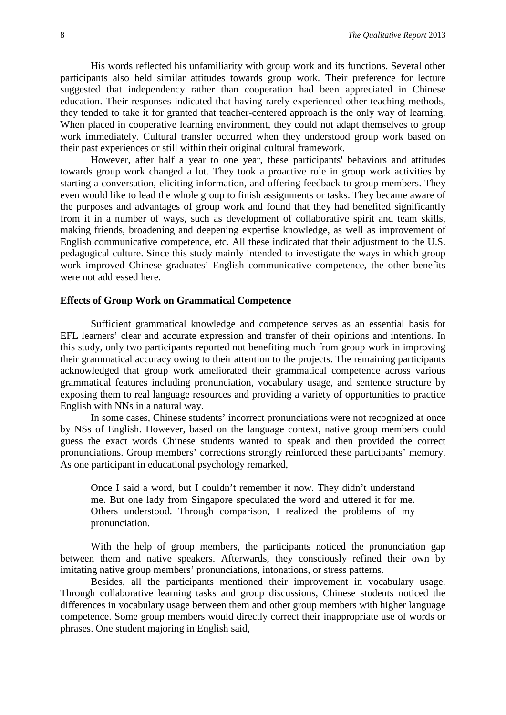His words reflected his unfamiliarity with group work and its functions. Several other participants also held similar attitudes towards group work. Their preference for lecture suggested that independency rather than cooperation had been appreciated in Chinese education. Their responses indicated that having rarely experienced other teaching methods, they tended to take it for granted that teacher-centered approach is the only way of learning. When placed in cooperative learning environment, they could not adapt themselves to group work immediately. Cultural transfer occurred when they understood group work based on their past experiences or still within their original cultural framework.

However, after half a year to one year, these participants' behaviors and attitudes towards group work changed a lot. They took a proactive role in group work activities by starting a conversation, eliciting information, and offering feedback to group members. They even would like to lead the whole group to finish assignments or tasks. They became aware of the purposes and advantages of group work and found that they had benefited significantly from it in a number of ways, such as development of collaborative spirit and team skills, making friends, broadening and deepening expertise knowledge, as well as improvement of English communicative competence, etc. All these indicated that their adjustment to the U.S. pedagogical culture. Since this study mainly intended to investigate the ways in which group work improved Chinese graduates' English communicative competence, the other benefits were not addressed here.

#### **Effects of Group Work on Grammatical Competence**

Sufficient grammatical knowledge and competence serves as an essential basis for EFL learners' clear and accurate expression and transfer of their opinions and intentions. In this study, only two participants reported not benefiting much from group work in improving their grammatical accuracy owing to their attention to the projects. The remaining participants acknowledged that group work ameliorated their grammatical competence across various grammatical features including pronunciation, vocabulary usage, and sentence structure by exposing them to real language resources and providing a variety of opportunities to practice English with NNs in a natural way.

In some cases, Chinese students' incorrect pronunciations were not recognized at once by NSs of English. However, based on the language context, native group members could guess the exact words Chinese students wanted to speak and then provided the correct pronunciations. Group members' corrections strongly reinforced these participants' memory. As one participant in educational psychology remarked,

Once I said a word, but I couldn't remember it now. They didn't understand me. But one lady from Singapore speculated the word and uttered it for me. Others understood. Through comparison, I realized the problems of my pronunciation.

With the help of group members, the participants noticed the pronunciation gap between them and native speakers. Afterwards, they consciously refined their own by imitating native group members' pronunciations, intonations, or stress patterns.

Besides, all the participants mentioned their improvement in vocabulary usage. Through collaborative learning tasks and group discussions, Chinese students noticed the differences in vocabulary usage between them and other group members with higher language competence. Some group members would directly correct their inappropriate use of words or phrases. One student majoring in English said,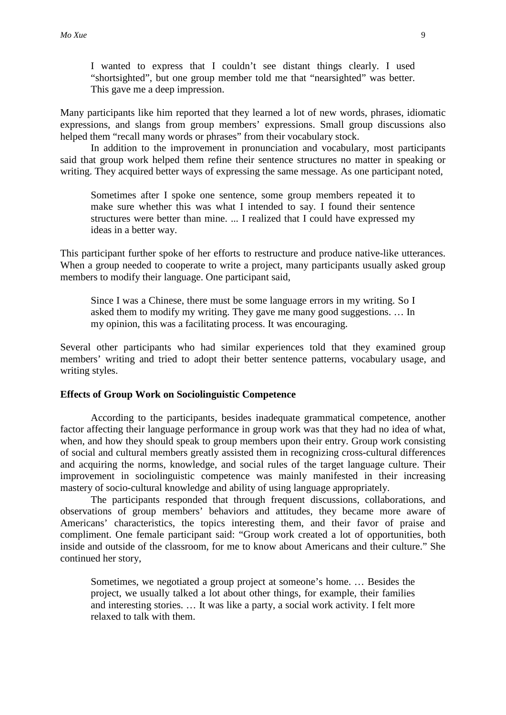I wanted to express that I couldn't see distant things clearly. I used "shortsighted", but one group member told me that "nearsighted" was better. This gave me a deep impression.

Many participants like him reported that they learned a lot of new words, phrases, idiomatic expressions, and slangs from group members' expressions. Small group discussions also helped them "recall many words or phrases" from their vocabulary stock.

In addition to the improvement in pronunciation and vocabulary, most participants said that group work helped them refine their sentence structures no matter in speaking or writing. They acquired better ways of expressing the same message. As one participant noted,

Sometimes after I spoke one sentence, some group members repeated it to make sure whether this was what I intended to say. I found their sentence structures were better than mine. ... I realized that I could have expressed my ideas in a better way.

This participant further spoke of her efforts to restructure and produce native-like utterances. When a group needed to cooperate to write a project, many participants usually asked group members to modify their language. One participant said,

Since I was a Chinese, there must be some language errors in my writing. So I asked them to modify my writing. They gave me many good suggestions. … In my opinion, this was a facilitating process. It was encouraging.

Several other participants who had similar experiences told that they examined group members' writing and tried to adopt their better sentence patterns, vocabulary usage, and writing styles.

#### **Effects of Group Work on Sociolinguistic Competence**

According to the participants, besides inadequate grammatical competence, another factor affecting their language performance in group work was that they had no idea of what, when, and how they should speak to group members upon their entry. Group work consisting of social and cultural members greatly assisted them in recognizing cross-cultural differences and acquiring the norms, knowledge, and social rules of the target language culture. Their improvement in sociolinguistic competence was mainly manifested in their increasing mastery of socio-cultural knowledge and ability of using language appropriately.

The participants responded that through frequent discussions, collaborations, and observations of group members' behaviors and attitudes, they became more aware of Americans' characteristics, the topics interesting them, and their favor of praise and compliment. One female participant said: "Group work created a lot of opportunities, both inside and outside of the classroom, for me to know about Americans and their culture." She continued her story,

Sometimes, we negotiated a group project at someone's home. … Besides the project, we usually talked a lot about other things, for example, their families and interesting stories. … It was like a party, a social work activity. I felt more relaxed to talk with them.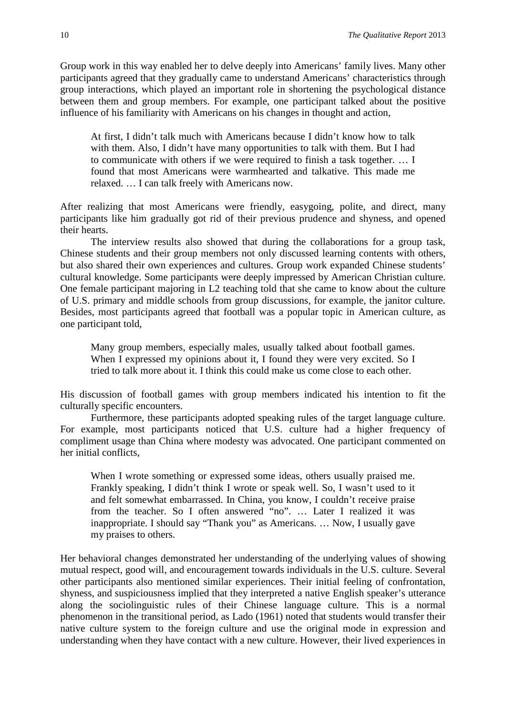Group work in this way enabled her to delve deeply into Americans' family lives. Many other participants agreed that they gradually came to understand Americans' characteristics through group interactions, which played an important role in shortening the psychological distance between them and group members. For example, one participant talked about the positive influence of his familiarity with Americans on his changes in thought and action,

At first, I didn't talk much with Americans because I didn't know how to talk with them. Also, I didn't have many opportunities to talk with them. But I had to communicate with others if we were required to finish a task together. … I found that most Americans were warmhearted and talkative. This made me relaxed. … I can talk freely with Americans now.

After realizing that most Americans were friendly, easygoing, polite, and direct, many participants like him gradually got rid of their previous prudence and shyness, and opened their hearts.

The interview results also showed that during the collaborations for a group task, Chinese students and their group members not only discussed learning contents with others, but also shared their own experiences and cultures. Group work expanded Chinese students' cultural knowledge. Some participants were deeply impressed by American Christian culture. One female participant majoring in L2 teaching told that she came to know about the culture of U.S. primary and middle schools from group discussions, for example, the janitor culture. Besides, most participants agreed that football was a popular topic in American culture, as one participant told,

Many group members, especially males, usually talked about football games. When I expressed my opinions about it, I found they were very excited. So I tried to talk more about it. I think this could make us come close to each other.

His discussion of football games with group members indicated his intention to fit the culturally specific encounters.

Furthermore, these participants adopted speaking rules of the target language culture. For example, most participants noticed that U.S. culture had a higher frequency of compliment usage than China where modesty was advocated. One participant commented on her initial conflicts,

When I wrote something or expressed some ideas, others usually praised me. Frankly speaking, I didn't think I wrote or speak well. So, I wasn't used to it and felt somewhat embarrassed. In China, you know, I couldn't receive praise from the teacher. So I often answered "no". ... Later I realized it was inappropriate. I should say "Thank you" as Americans. … Now, I usually gave my praises to others.

Her behavioral changes demonstrated her understanding of the underlying values of showing mutual respect, good will, and encouragement towards individuals in the U.S. culture. Several other participants also mentioned similar experiences. Their initial feeling of confrontation, shyness, and suspiciousness implied that they interpreted a native English speaker's utterance along the sociolinguistic rules of their Chinese language culture. This is a normal phenomenon in the transitional period, as Lado (1961) noted that students would transfer their native culture system to the foreign culture and use the original mode in expression and understanding when they have contact with a new culture. However, their lived experiences in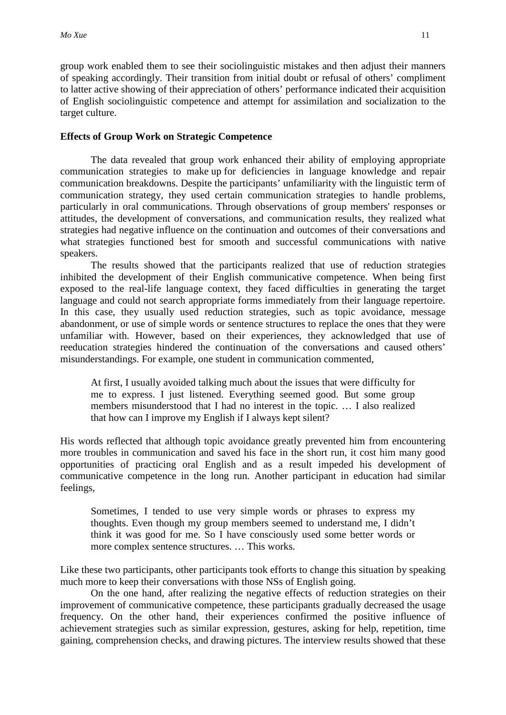group work enabled them to see their sociolinguistic mistakes and then adjust their manners of speaking accordingly. Their transition from initial doubt or refusal of others' compliment to latter active showing of their appreciation of others' performance indicated their acquisition of English sociolinguistic competence and attempt for assimilation and socialization to the target culture.

#### **Effects of Group Work on Strategic Competence**

The data revealed that group work enhanced their ability of employing appropriate communication strategies to make up for deficiencies in language knowledge and repair communication breakdowns. Despite the participants' unfamiliarity with the linguistic term of communication strategy, they used certain communication strategies to handle problems, particularly in oral communications. Through observations of group members' responses or attitudes, the development of conversations, and communication results, they realized what strategies had negative influence on the continuation and outcomes of their conversations and what strategies functioned best for smooth and successful communications with native speakers.

The results showed that the participants realized that use of reduction strategies inhibited the development of their English communicative competence. When being first exposed to the real-life language context, they faced difficulties in generating the target language and could not search appropriate forms immediately from their language repertoire. In this case, they usually used reduction strategies, such as topic avoidance, message abandonment, or use of simple words or sentence structures to replace the ones that they were unfamiliar with. However, based on their experiences, they acknowledged that use of reeducation strategies hindered the continuation of the conversations and caused others' misunderstandings. For example, one student in communication commented,

At first, I usually avoided talking much about the issues that were difficulty for me to express. I just listened. Everything seemed good. But some group members misunderstood that I had no interest in the topic. … I also realized that how can I improve my English if I always kept silent?

His words reflected that although topic avoidance greatly prevented him from encountering more troubles in communication and saved his face in the short run, it cost him many good opportunities of practicing oral English and as a result impeded his development of communicative competence in the long run. Another participant in education had similar feelings,

Sometimes, I tended to use very simple words or phrases to express my thoughts. Even though my group members seemed to understand me, I didn't think it was good for me. So I have consciously used some better words or more complex sentence structures. … This works.

Like these two participants, other participants took efforts to change this situation by speaking much more to keep their conversations with those NSs of English going.

On the one hand, after realizing the negative effects of reduction strategies on their improvement of communicative competence, these participants gradually decreased the usage frequency. On the other hand, their experiences confirmed the positive influence of achievement strategies such as similar expression, gestures, asking for help, repetition, time gaining, comprehension checks, and drawing pictures. The interview results showed that these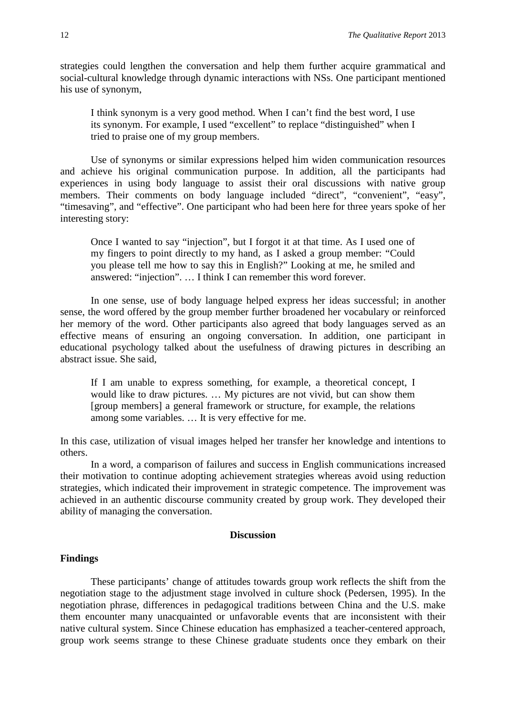strategies could lengthen the conversation and help them further acquire grammatical and social-cultural knowledge through dynamic interactions with NSs. One participant mentioned his use of synonym,

I think synonym is a very good method. When I can't find the best word, I use its synonym. For example, I used "excellent" to replace "distinguished" when I tried to praise one of my group members.

Use of synonyms or similar expressions helped him widen communication resources and achieve his original communication purpose. In addition, all the participants had experiences in using body language to assist their oral discussions with native group members. Their comments on body language included "direct", "convenient", "easy", "timesaving", and "effective". One participant who had been here for three years spoke of her interesting story:

Once I wanted to say "injection", but I forgot it at that time. As I used one of my fingers to point directly to my hand, as I asked a group member: "Could you please tell me how to say this in English?" Looking at me, he smiled and answered: "injection". … I think I can remember this word forever.

In one sense, use of body language helped express her ideas successful; in another sense, the word offered by the group member further broadened her vocabulary or reinforced her memory of the word. Other participants also agreed that body languages served as an effective means of ensuring an ongoing conversation. In addition, one participant in educational psychology talked about the usefulness of drawing pictures in describing an abstract issue. She said,

If I am unable to express something, for example, a theoretical concept, I would like to draw pictures. … My pictures are not vivid, but can show them [group members] a general framework or structure, for example, the relations among some variables. … It is very effective for me.

In this case, utilization of visual images helped her transfer her knowledge and intentions to others.

In a word, a comparison of failures and success in English communications increased their motivation to continue adopting achievement strategies whereas avoid using reduction strategies, which indicated their improvement in strategic competence. The improvement was achieved in an authentic discourse community created by group work. They developed their ability of managing the conversation.

#### **Discussion**

#### **Findings**

These participants' change of attitudes towards group work reflects the shift from the negotiation stage to the adjustment stage involved in culture shock (Pedersen, 1995). In the negotiation phrase, differences in pedagogical traditions between China and the U.S. make them encounter many unacquainted or unfavorable events that are inconsistent with their native cultural system. Since Chinese education has emphasized a teacher-centered approach, group work seems strange to these Chinese graduate students once they embark on their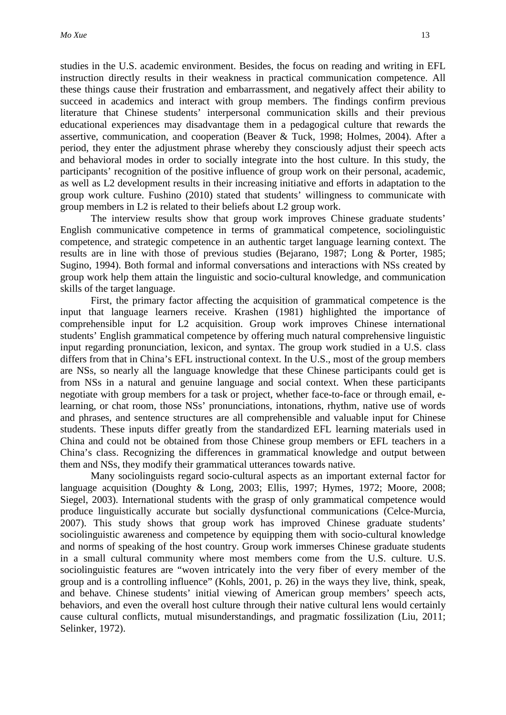studies in the U.S. academic environment. Besides, the focus on reading and writing in EFL instruction directly results in their weakness in practical communication competence. All these things cause their frustration and embarrassment, and negatively affect their ability to succeed in academics and interact with group members. The findings confirm previous literature that Chinese students' interpersonal communication skills and their previous educational experiences may disadvantage them in a pedagogical culture that rewards the assertive, communication, and cooperation (Beaver & Tuck, 1998; Holmes, 2004). After a period, they enter the adjustment phrase whereby they consciously adjust their speech acts and behavioral modes in order to socially integrate into the host culture. In this study, the participants' recognition of the positive influence of group work on their personal, academic, as well as L2 development results in their increasing initiative and efforts in adaptation to the group work culture. Fushino (2010) stated that students' willingness to communicate with group members in L2 is related to their beliefs about L2 group work.

The interview results show that group work improves Chinese graduate students' English communicative competence in terms of grammatical competence, sociolinguistic competence, and strategic competence in an authentic target language learning context. The results are in line with those of previous studies (Bejarano, 1987; Long & Porter, 1985; Sugino, 1994). Both formal and informal conversations and interactions with NSs created by group work help them attain the linguistic and socio-cultural knowledge, and communication skills of the target language.

First, the primary factor affecting the acquisition of grammatical competence is the input that language learners receive. Krashen (1981) highlighted the importance of comprehensible input for L2 acquisition. Group work improves Chinese international students' English grammatical competence by offering much natural comprehensive linguistic input regarding pronunciation, lexicon, and syntax. The group work studied in a U.S. class differs from that in China's EFL instructional context. In the U.S., most of the group members are NSs, so nearly all the language knowledge that these Chinese participants could get is from NSs in a natural and genuine language and social context. When these participants negotiate with group members for a task or project, whether face-to-face or through email, elearning, or chat room, those NSs' pronunciations, intonations, rhythm, native use of words and phrases, and sentence structures are all comprehensible and valuable input for Chinese students. These inputs differ greatly from the standardized EFL learning materials used in China and could not be obtained from those Chinese group members or EFL teachers in a China's class. Recognizing the differences in grammatical knowledge and output between them and NSs, they modify their grammatical utterances towards native.

Many sociolinguists regard socio-cultural aspects as an important external factor for language acquisition (Doughty & Long, 2003; Ellis, 1997; Hymes, 1972; Moore, 2008; Siegel, 2003). International students with the grasp of only grammatical competence would produce linguistically accurate but socially dysfunctional communications (Celce-Murcia, 2007). This study shows that group work has improved Chinese graduate students' sociolinguistic awareness and competence by equipping them with socio-cultural knowledge and norms of speaking of the host country. Group work immerses Chinese graduate students in a small cultural community where most members come from the U.S. culture. U.S. sociolinguistic features are "woven intricately into the very fiber of every member of the group and is a controlling influence" (Kohls, 2001, p. 26) in the ways they live, think, speak, and behave. Chinese students' initial viewing of American group members' speech acts, behaviors, and even the overall host culture through their native cultural lens would certainly cause cultural conflicts, mutual misunderstandings, and pragmatic fossilization (Liu, 2011; Selinker, 1972).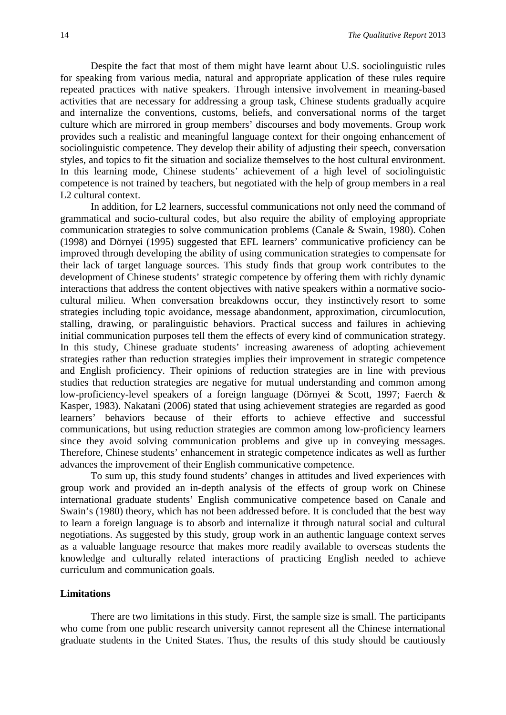Despite the fact that most of them might have learnt about U.S. sociolinguistic rules for speaking from various media, natural and appropriate application of these rules require repeated practices with native speakers. Through intensive involvement in meaning-based activities that are necessary for addressing a group task, Chinese students gradually acquire and internalize the conventions, customs, beliefs, and conversational norms of the target culture which are mirrored in group members' discourses and body movements. Group work provides such a realistic and meaningful language context for their ongoing enhancement of sociolinguistic competence. They develop their ability of adjusting their speech, conversation styles, and topics to fit the situation and socialize themselves to the host cultural environment. In this learning mode, Chinese students' achievement of a high level of sociolinguistic competence is not trained by teachers, but negotiated with the help of group members in a real L2 cultural context.

In addition, for L2 learners, successful communications not only need the command of grammatical and socio-cultural codes, but also require the ability of employing appropriate communication strategies to solve communication problems (Canale & Swain, 1980). Cohen (1998) and Dörnyei (1995) suggested that EFL learners' communicative proficiency can be improved through developing the ability of using communication strategies to compensate for their lack of target language sources. This study finds that group work contributes to the development of Chinese students' strategic competence by offering them with richly dynamic interactions that address the content objectives with native speakers within a normative sociocultural milieu. When conversation breakdowns occur, they instinctively resort to some strategies including topic avoidance, message abandonment, approximation, circumlocution, stalling, drawing, or paralinguistic behaviors. Practical success and failures in achieving initial communication purposes tell them the effects of every kind of communication strategy. In this study, Chinese graduate students' increasing awareness of adopting achievement strategies rather than reduction strategies implies their improvement in strategic competence and English proficiency. Their opinions of reduction strategies are in line with previous studies that reduction strategies are negative for mutual understanding and common among low-proficiency-level speakers of a foreign language (Dörnyei & Scott, 1997; Faerch & Kasper, 1983). Nakatani (2006) stated that using achievement strategies are regarded as good learners' behaviors because of their efforts to achieve effective and successful communications, but using reduction strategies are common among low-proficiency learners since they avoid solving communication problems and give up in conveying messages. Therefore, Chinese students' enhancement in strategic competence indicates as well as further advances the improvement of their English communicative competence.

To sum up, this study found students' changes in attitudes and lived experiences with group work and provided an in-depth analysis of the effects of group work on Chinese international graduate students' English communicative competence based on Canale and Swain's (1980) theory, which has not been addressed before. It is concluded that the best way to learn a foreign language is to absorb and internalize it through natural social and cultural negotiations. As suggested by this study, group work in an authentic language context serves as a valuable language resource that makes more readily available to overseas students the knowledge and culturally related interactions of practicing English needed to achieve curriculum and communication goals.

#### **Limitations**

There are two limitations in this study. First, the sample size is small. The participants who come from one public research university cannot represent all the Chinese international graduate students in the United States. Thus, the results of this study should be cautiously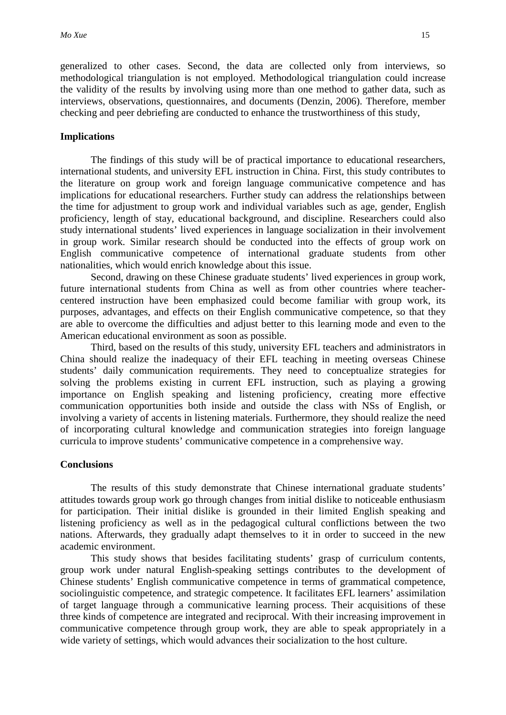generalized to other cases. Second, the data are collected only from interviews, so methodological triangulation is not employed. Methodological triangulation could increase the validity of the results by involving using more than one method to gather data, such as interviews, observations, questionnaires, and documents (Denzin, 2006). Therefore, member checking and peer debriefing are conducted to enhance the trustworthiness of this study,

#### **Implications**

The findings of this study will be of practical importance to educational researchers, international students, and university EFL instruction in China. First, this study contributes to the literature on group work and foreign language communicative competence and has implications for educational researchers. Further study can address the relationships between the time for adjustment to group work and individual variables such as age, gender, English proficiency, length of stay, educational background, and discipline. Researchers could also study international students' lived experiences in language socialization in their involvement in group work. Similar research should be conducted into the effects of group work on English communicative competence of international graduate students from other nationalities, which would enrich knowledge about this issue.

Second, drawing on these Chinese graduate students' lived experiences in group work, future international students from China as well as from other countries where teachercentered instruction have been emphasized could become familiar with group work, its purposes, advantages, and effects on their English communicative competence, so that they are able to overcome the difficulties and adjust better to this learning mode and even to the American educational environment as soon as possible.

Third, based on the results of this study, university EFL teachers and administrators in China should realize the inadequacy of their EFL teaching in meeting overseas Chinese students' daily communication requirements. They need to conceptualize strategies for solving the problems existing in current EFL instruction, such as playing a growing importance on English speaking and listening proficiency, creating more effective communication opportunities both inside and outside the class with NSs of English, or involving a variety of accents in listening materials. Furthermore, they should realize the need of incorporating cultural knowledge and communication strategies into foreign language curricula to improve students' communicative competence in a comprehensive way.

#### **Conclusions**

The results of this study demonstrate that Chinese international graduate students' attitudes towards group work go through changes from initial dislike to noticeable enthusiasm for participation. Their initial dislike is grounded in their limited English speaking and listening proficiency as well as in the pedagogical cultural conflictions between the two nations. Afterwards, they gradually adapt themselves to it in order to succeed in the new academic environment.

This study shows that besides facilitating students' grasp of curriculum contents, group work under natural English-speaking settings contributes to the development of Chinese students' English communicative competence in terms of grammatical competence, sociolinguistic competence, and strategic competence. It facilitates EFL learners' assimilation of target language through a communicative learning process. Their acquisitions of these three kinds of competence are integrated and reciprocal. With their increasing improvement in communicative competence through group work, they are able to speak appropriately in a wide variety of settings, which would advances their socialization to the host culture.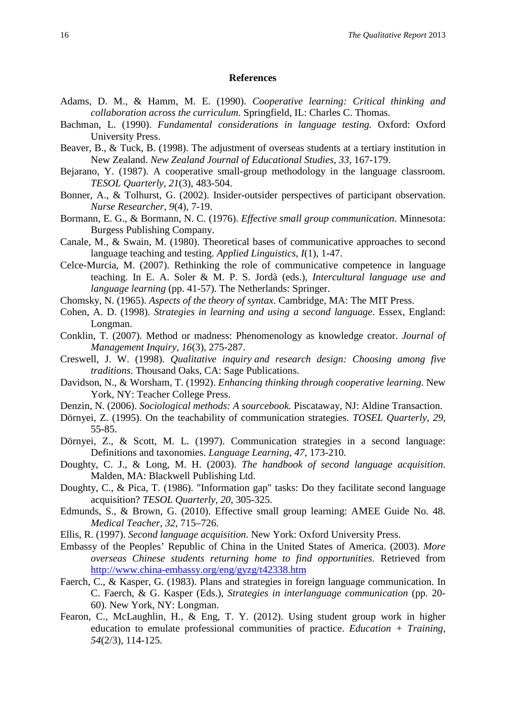#### **References**

- Adams, D. M., & Hamm, M. E. (1990). *Cooperative learning: Critical thinking and collaboration across the curriculum*. Springfield, IL: Charles C. Thomas*.*
- Bachman, L. (1990). *Fundamental considerations in language testing.* Oxford: Oxford University Press.
- Beaver, B., & Tuck, B. (1998). The adjustment of overseas students at a tertiary institution in New Zealand. *New Zealand Journal of Educational Studies*, *33*, 167-179.
- Bejarano, Y. (1987). A cooperative small-group methodology in the language classroom. *TESOL Quarterly, 21*(3), 483-504.
- Bonner, A., & Tolhurst, G. (2002). Insider-outsider perspectives of participant observation. *Nurse Researcher, 9*(4), 7-19.
- Bormann, E. G., & Bormann, N. C. (1976). *Effective small group communication*. Minnesota: Burgess Publishing Company.
- Canale, M., & Swain, M. (1980). Theoretical bases of communicative approaches to second language teaching and testing. *Applied Linguistics, I*(1), 1-47.
- Celce-Murcia, M. (2007). Rethinking the role of communicative competence in language teaching. In E. A. Soler & M. P. S. Jordà (eds.), *Intercultural language use and language learning* (pp. 41-57). The Netherlands: Springer.
- Chomsky, N. (1965). *Aspects of the theory of syntax*. Cambridge, MA: The MIT Press.
- Cohen, A. D. (1998). *Strategies in learning and using a second language*. Essex, England: Longman.
- Conklin, T. (2007). Method or madness: Phenomenology as knowledge creator. *Journal of Management Inquiry, 16*(3), 275-287.
- Creswell, J. W. (1998). *Qualitative inquiry and research design: Choosing among five traditions*. Thousand Oaks, CA: Sage Publications.
- Davidson, N., & Worsham, T. (1992). *Enhancing thinking through cooperative learning*. New York, NY: Teacher College Press.
- Denzin, N. (2006). *Sociological methods: A sourcebook.* Piscataway, NJ: Aldine Transaction.
- Dörnyei, Z. (1995). On the teachability of communication strategies. *TOSEL Quarterly, 29*, 55-85.
- Dörnyei, Z., & Scott, M. L. (1997). Communication strategies in a second language: Definitions and taxonomies. *Language Learning, 47*, 173-210.
- Doughty, C. J., & Long, M. H. (2003). *The handbook of second language acquisition*. Malden, MA: Blackwell Publishing Ltd.
- Doughty, C., & Pica, T. (1986). "Information gap" tasks: Do they facilitate second language acquisition? *TESOL Quarterly, 20*, 305-325.
- Edmunds, S., & Brown, G. (2010). Effective small group learning: AMEE Guide No. 48. *Medical Teacher, 32*, 715–726.
- Ellis, R. (1997). *Second language acquisition*. New York: Oxford University Press.
- Embassy of the Peoples' Republic of China in the United States of America. (2003). *More overseas Chinese students returning home to find opportunities*. Retrieved from <http://www.china-embassy.org/eng/gyzg/t42338.htm>
- Faerch, C., & Kasper, G. (1983). Plans and strategies in foreign language communication. In C. Faerch, & G. Kasper (Eds.), *Strategies in interlanguage communication* (pp. 20- 60). New York, NY: Longman.
- Fearon, C., McLaughlin, H., & Eng, T. Y. (2012). Using student group work in higher education to emulate professional communities of practice. *Education + Training, 54*(2/3), 114-125.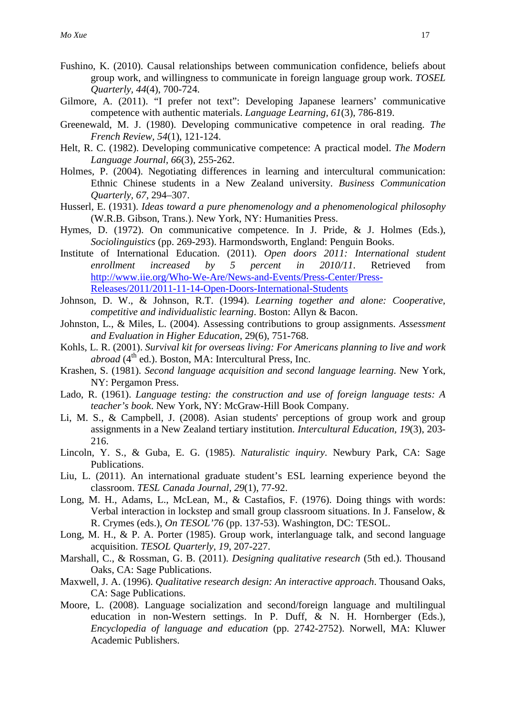- Fushino, K. (2010). Causal relationships between communication confidence, beliefs about group work, and willingness to communicate in foreign language group work. *TOSEL Quarterly, 44*(4), 700-724.
- Gilmore, A. (2011). "I prefer not text": Developing Japanese learners' communicative competence with authentic materials. *Language Learning, 61*(3), 786-819.
- Greenewald, M. J. (1980). Developing communicative competence in oral reading. *The French Review, 54*(1), 121-124.
- Helt, R. C. (1982). Developing communicative competence: A practical model. *The Modern Language Journal, 66*(3), 255-262.
- Holmes, P. (2004). Negotiating differences in learning and intercultural communication: Ethnic Chinese students in a New Zealand university. *Business Communication Quarterly, 67*, 294–307.
- Husserl, E. (1931). *Ideas toward a pure phenomenology and a phenomenological philosophy* (W.R.B. Gibson, Trans.). New York, NY: Humanities Press.
- Hymes, D. (1972). On communicative competence. In J. Pride, & J. Holmes (Eds.), *Sociolinguistics* (pp. 269-293). Harmondsworth, England: Penguin Books.
- Institute of International Education. (2011). *Open doors 2011: International student enrollment increased by 5 percent in 2010/11*. Retrieved from [http://www.iie.org/Who-We-Are/News-and-Events/Press-Center/Press-](http://www.iie.org/Who-We-Are/News-and-Events/Press-Center/Press-Releases/2011/2011-11-14-Open-Doors-International-Students)[Releases/2011/2011-11-14-Open-Doors-International-Students](http://www.iie.org/Who-We-Are/News-and-Events/Press-Center/Press-Releases/2011/2011-11-14-Open-Doors-International-Students)
- Johnson, D. W., & Johnson, R.T. (1994). *Learning together and alone: Cooperative, competitive and individualistic learning*. Boston: Allyn & Bacon.
- Johnston, L., & Miles, L. (2004). Assessing contributions to group assignments. *Assessment and Evaluation in Higher Education*, 29(6), 751-768.
- Kohls, L. R. (2001). *Survival kit for overseas living: For Americans planning to live and work abroad* (4<sup>th</sup> ed.). Boston, MA: Intercultural Press, Inc.
- Krashen, S. (1981). *Second language acquisition and second language learning*. New York, NY: Pergamon Press.
- Lado, R. (1961). *Language testing: the construction and use of foreign language tests: A teacher's book*. New York, NY: McGraw-Hill Book Company.
- Li, M. S., & Campbell, J. (2008). Asian students' perceptions of group work and group assignments in a New Zealand tertiary institution. *Intercultural Education, 19*(3), 203- 216.
- Lincoln, Y. S., & Guba, E. G. (1985). *Naturalistic inquiry*. Newbury Park, CA: Sage Publications.
- Liu, L. (2011). An international graduate student's ESL learning experience beyond the classroom. *TESL Canada Journal, 29*(1), 77-92.
- Long, M. H., Adams, L., McLean, M., & Castafios, F. (1976). Doing things with words: Verbal interaction in lockstep and small group classroom situations. In J. Fanselow, & R. Crymes (eds.), *On TESOL'76* (pp. 137-53). Washington, DC: TESOL.
- Long, M. H., & P. A. Porter (1985). Group work, interlanguage talk, and second language acquisition. *TESOL Quarterly, 19*, 207-227.
- Marshall, C., & Rossman, G. B. (2011). *Designing qualitative research* (5th ed.). Thousand Oaks, CA: Sage Publications.
- Maxwell, J. A. (1996). *Qualitative research design: An interactive approach*. Thousand Oaks, CA: Sage Publications.
- Moore, L. (2008). Language socialization and second/foreign language and multilingual education in non-Western settings. In P. Duff, & N. H. Hornberger (Eds.), *Encyclopedia of language and education* (pp. 2742-2752). Norwell, MA: Kluwer Academic Publishers.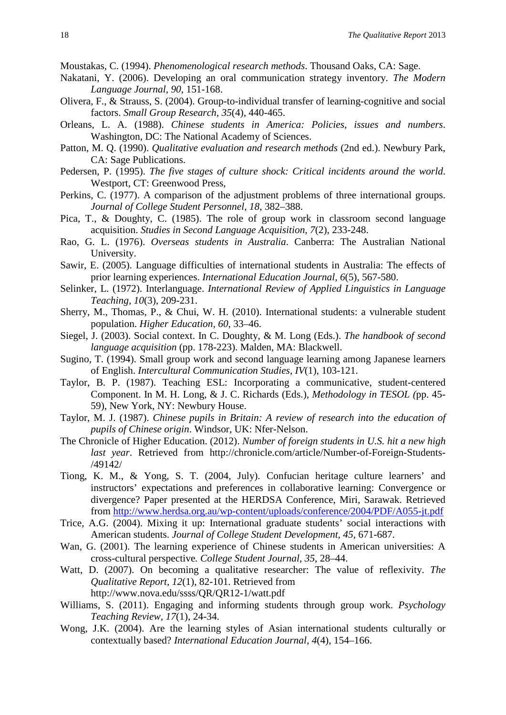Moustakas, C. (1994). *Phenomenological research methods*. Thousand Oaks, CA: Sage.

- Nakatani, Y. (2006). Developing an oral communication strategy inventory. *The Modern Language Journal, 90*, 151-168.
- Olivera, F., & Strauss, S. (2004). Group-to-individual transfer of learning-cognitive and social factors. *Small Group Research, 35*(4), 440-465.
- Orleans, L. A. (1988). *Chinese students in America: Policies, issues and numbers*. Washington, DC: The National Academy of Sciences.
- Patton, M. Q. (1990). *Qualitative evaluation and research methods* (2nd ed.). Newbury Park, CA: Sage Publications.
- Pedersen, P. (1995). *The five stages of culture shock: Critical incidents around the world*. Westport, CT: Greenwood Press,
- Perkins, C. (1977). A comparison of the adjustment problems of three international groups. *Journal of College Student Personnel*, *18*, 382–388.
- Pica, T., & Doughty, C. (1985). The role of group work in classroom second language acquisition. *Studies in Second Language Acquisition, 7*(2), 233-248.
- Rao, G. L. (1976). *Overseas students in Australia*. Canberra: The Australian National University.
- Sawir, E. (2005). Language difficulties of international students in Australia: The effects of prior learning experiences. *International Education Journal, 6*(5), 567-580.
- Selinker, L. (1972). Interlanguage. *International Review of Applied Linguistics in Language Teaching, 10*(3), 209-231.
- Sherry, M., Thomas, P., & Chui, W. H. (2010). International students: a vulnerable student population. *Higher Education, 60*, 33–46.
- Siegel, J. (2003). Social context. In C. Doughty, & M. Long (Eds.). *The handbook of second language acquisition* (pp. 178-223). Malden, MA: Blackwell.
- Sugino, T. (1994). Small group work and second language learning among Japanese learners of English. *Intercultural Communication Studies, IV*(1), 103-121.
- Taylor, B. P. (1987). Teaching ESL: Incorporating a communicative, student-centered Component. In M. H. Long, & J. C. Richards (Eds.), *Methodology in TESOL (*pp. 45- 59), New York, NY: Newbury House.
- Taylor, M. J. (1987). *Chinese pupils in Britain: A review of research into the education of pupils of Chinese origin*. Windsor, UK: Nfer-Nelson.
- The Chronicle of Higher Education. (2012). *Number of foreign students in U.S. hit a new high last year*. Retrieved from http://chronicle.com/article/Number-of-Foreign-Students- /49142/
- Tiong, K. M., & Yong, S. T. (2004, July). Confucian heritage culture learners' and instructors' expectations and preferences in collaborative learning: Convergence or divergence? Paper presented at the HERDSA Conference, Miri, Sarawak. Retrieved from<http://www.herdsa.org.au/wp-content/uploads/conference/2004/PDF/A055-jt.pdf>
- Trice, A.G. (2004). Mixing it up: International graduate students' social interactions with American students. *Journal of College Student Development, 45*, 671-687.
- Wan, G. (2001). The learning experience of Chinese students in American universities: A cross-cultural perspective*. College Student Journal*, *35*, 28–44.
- Watt, D. (2007). On becoming a qualitative researcher: The value of reflexivity. *The Qualitative Report, 12*(1), 82-101. Retrieved from http://www.nova.edu/ssss/QR/QR12-1/watt.pdf
- Williams, S. (2011). Engaging and informing students through group work. *Psychology Teaching Review, 17*(1), 24-34.
- Wong, J.K. (2004). Are the learning styles of Asian international students culturally or contextually based? *International Education Journal, 4*(4), 154–166.